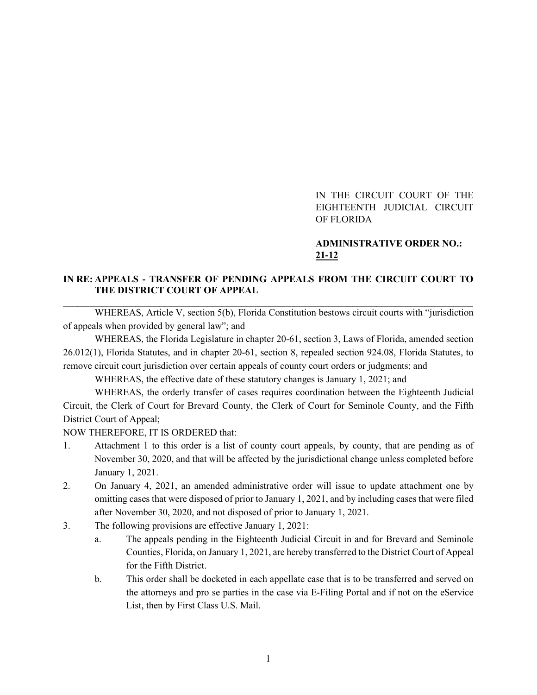IN THE CIRCUIT COURT OF THE EIGHTEENTH JUDICIAL CIRCUIT OF FLORIDA

### **ADMINISTRATIVE ORDER NO.: 21-12**

### **IN RE: APPEALS - TRANSFER OF PENDING APPEALS FROM THE CIRCUIT COURT TO THE DISTRICT COURT OF APPEAL \_\_\_\_\_\_\_\_\_\_\_\_\_\_\_\_\_\_\_\_\_\_\_\_\_\_\_\_\_\_\_\_\_\_\_\_\_\_\_\_\_\_\_\_\_\_\_\_\_\_\_\_\_\_\_\_\_\_\_\_\_\_\_\_\_\_\_\_\_\_\_\_\_\_\_\_\_\_\_\_\_\_\_\_\_**

WHEREAS, Article V, section 5(b), Florida Constitution bestows circuit courts with "jurisdiction of appeals when provided by general law"; and

WHEREAS, the Florida Legislature in chapter 20-61, section 3, Laws of Florida, amended section 26.012(1), Florida Statutes, and in chapter 20-61, section 8, repealed section 924.08, Florida Statutes, to remove circuit court jurisdiction over certain appeals of county court orders or judgments; and

WHEREAS, the effective date of these statutory changes is January 1, 2021; and

WHEREAS, the orderly transfer of cases requires coordination between the Eighteenth Judicial Circuit, the Clerk of Court for Brevard County, the Clerk of Court for Seminole County, and the Fifth District Court of Appeal;

NOW THEREFORE, IT IS ORDERED that:

- 1. Attachment 1 to this order is a list of county court appeals, by county, that are pending as of November 30, 2020, and that will be affected by the jurisdictional change unless completed before January 1, 2021.
- 2. On January 4, 2021, an amended administrative order will issue to update attachment one by omitting cases that were disposed of prior to January 1, 2021, and by including cases that were filed after November 30, 2020, and not disposed of prior to January 1, 2021.
- 3. The following provisions are effective January 1, 2021:
	- a. The appeals pending in the Eighteenth Judicial Circuit in and for Brevard and Seminole Counties, Florida, on January 1, 2021, are hereby transferred to the District Court of Appeal for the Fifth District.
	- b. This order shall be docketed in each appellate case that is to be transferred and served on the attorneys and pro se parties in the case via E-Filing Portal and if not on the eService List, then by First Class U.S. Mail.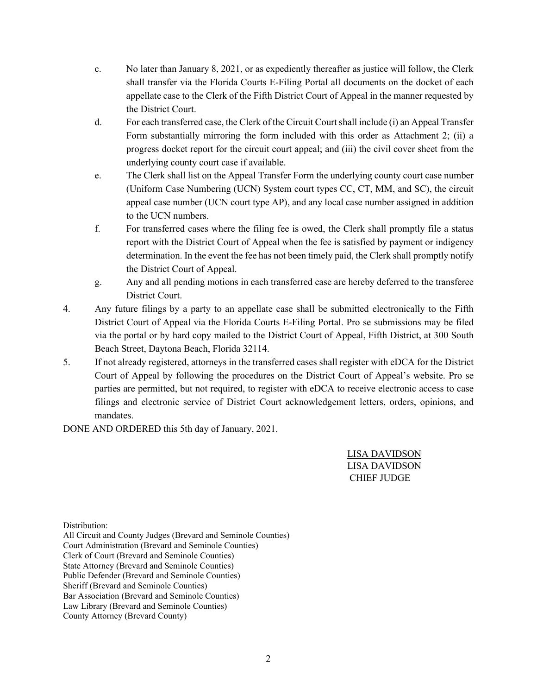- c. No later than January 8, 2021, or as expediently thereafter as justice will follow, the Clerk shall transfer via the Florida Courts E-Filing Portal all documents on the docket of each appellate case to the Clerk of the Fifth District Court of Appeal in the manner requested by the District Court.
- d. For each transferred case, the Clerk of the Circuit Court shall include (i) an Appeal Transfer Form substantially mirroring the form included with this order as Attachment 2; (ii) a progress docket report for the circuit court appeal; and (iii) the civil cover sheet from the underlying county court case if available.
- e. The Clerk shall list on the Appeal Transfer Form the underlying county court case number (Uniform Case Numbering (UCN) System court types CC, CT, MM, and SC), the circuit appeal case number (UCN court type AP), and any local case number assigned in addition to the UCN numbers.
- f. For transferred cases where the filing fee is owed, the Clerk shall promptly file a status report with the District Court of Appeal when the fee is satisfied by payment or indigency determination. In the event the fee has not been timely paid, the Clerk shall promptly notify the District Court of Appeal.
- g. Any and all pending motions in each transferred case are hereby deferred to the transferee District Court.
- 4. Any future filings by a party to an appellate case shall be submitted electronically to the Fifth District Court of Appeal via the Florida Courts E-Filing Portal. Pro se submissions may be filed via the portal or by hard copy mailed to the District Court of Appeal, Fifth District, at 300 South Beach Street, Daytona Beach, Florida 32114.
- 5. If not already registered, attorneys in the transferred cases shall register with eDCA for the District Court of Appeal by following the procedures on the District Court of Appeal's website. Pro se parties are permitted, but not required, to register with eDCA to receive electronic access to case filings and electronic service of District Court acknowledgement letters, orders, opinions, and mandates.

DONE AND ORDERED this 5th day of January, 2021.

LISA DAVIDSON LISA DAVIDSON CHIEF JUDGE

Distribution:

All Circuit and County Judges (Brevard and Seminole Counties) Court Administration (Brevard and Seminole Counties) Clerk of Court (Brevard and Seminole Counties) State Attorney (Brevard and Seminole Counties) Public Defender (Brevard and Seminole Counties) Sheriff (Brevard and Seminole Counties) Bar Association (Brevard and Seminole Counties) Law Library (Brevard and Seminole Counties) County Attorney (Brevard County)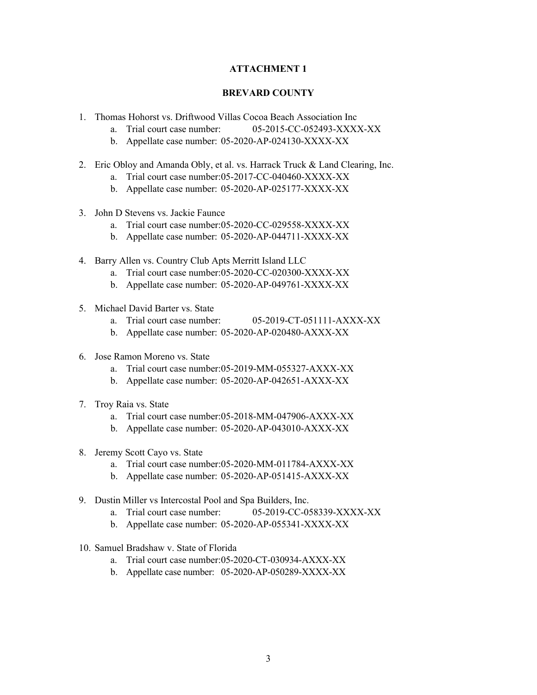#### **ATTACHMENT 1**

#### **BREVARD COUNTY**

- 1. Thomas Hohorst vs. Driftwood Villas Cocoa Beach Association Inc
	- a. Trial court case number: 05-2015-CC-052493-XXXX-XX
		- b. Appellate case number: 05-2020-AP-024130-XXXX-XX
- 2. Eric Obloy and Amanda Obly, et al. vs. Harrack Truck & Land Clearing, Inc.
	- a. Trial court case number:05-2017-CC-040460-XXXX-XX
	- b. Appellate case number: 05-2020-AP-025177-XXXX-XX
- 3. John D Stevens vs. Jackie Faunce
	- a. Trial court case number:05-2020-CC-029558-XXXX-XX
	- b. Appellate case number: 05-2020-AP-044711-XXXX-XX
- 4. Barry Allen vs. Country Club Apts Merritt Island LLC
	- a. Trial court case number:05-2020-CC-020300-XXXX-XX
	- b. Appellate case number: 05-2020-AP-049761-XXXX-XX
- 5. Michael David Barter vs. State
	- a. Trial court case number: 05-2019-CT-051111-AXXX-XX
	- b. Appellate case number: 05-2020-AP-020480-AXXX-XX
- 6. Jose Ramon Moreno vs. State
	- a. Trial court case number:05-2019-MM-055327-AXXX-XX
	- b. Appellate case number: 05-2020-AP-042651-AXXX-XX
- 7. Troy Raia vs. State
	- a. Trial court case number:05-2018-MM-047906-AXXX-XX
	- b. Appellate case number: 05-2020-AP-043010-AXXX-XX
- 8. Jeremy Scott Cayo vs. State
	- a. Trial court case number:05-2020-MM-011784-AXXX-XX
	- b. Appellate case number: 05-2020-AP-051415-AXXX-XX
- 9. Dustin Miller vs Intercostal Pool and Spa Builders, Inc.
	- a. Trial court case number: 05-2019-CC-058339-XXXX-XX
	- b. Appellate case number: 05-2020-AP-055341-XXXX-XX
- 10. Samuel Bradshaw v. State of Florida
	- a. Trial court case number:05-2020-CT-030934-AXXX-XX
	- b. Appellate case number: 05-2020-AP-050289-XXXX-XX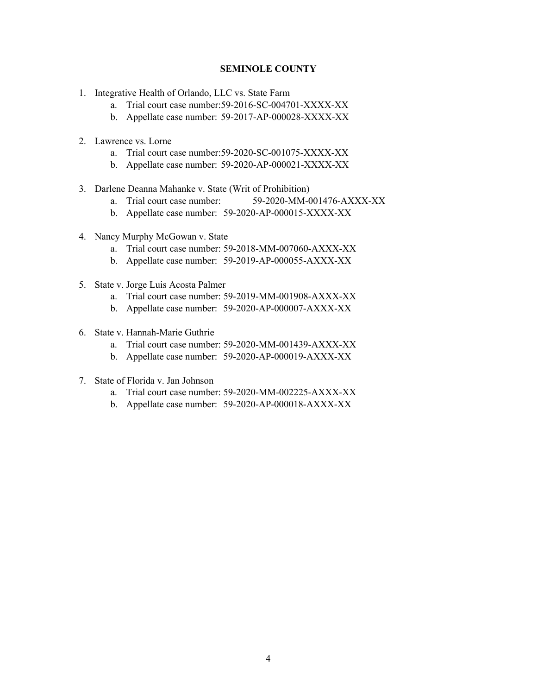#### **SEMINOLE COUNTY**

- 1. Integrative Health of Orlando, LLC vs. State Farm
	- a. Trial court case number:59-2016-SC-004701-XXXX-XX
	- b. Appellate case number: 59-2017-AP-000028-XXXX-XX
- 2. Lawrence vs. Lorne
	- a. Trial court case number:59-2020-SC-001075-XXXX-XX
	- b. Appellate case number: 59-2020-AP-000021-XXXX-XX
- 3. Darlene Deanna Mahanke v. State (Writ of Prohibition)
	- a. Trial court case number: 59-2020-MM-001476-AXXX-XX
	- b. Appellate case number: 59-2020-AP-000015-XXXX-XX
- 4. Nancy Murphy McGowan v. State
	- a. Trial court case number: 59-2018-MM-007060-AXXX-XX
	- b. Appellate case number: 59-2019-AP-000055-AXXX-XX
- 5. State v. Jorge Luis Acosta Palmer
	- a. Trial court case number: 59-2019-MM-001908-AXXX-XX
	- b. Appellate case number: 59-2020-AP-000007-AXXX-XX
- 6. State v. Hannah-Marie Guthrie
	- a. Trial court case number: 59-2020-MM-001439-AXXX-XX
	- b. Appellate case number: 59-2020-AP-000019-AXXX-XX
- 7. State of Florida v. Jan Johnson
	- a. Trial court case number: 59-2020-MM-002225-AXXX-XX
	- b. Appellate case number: 59-2020-AP-000018-AXXX-XX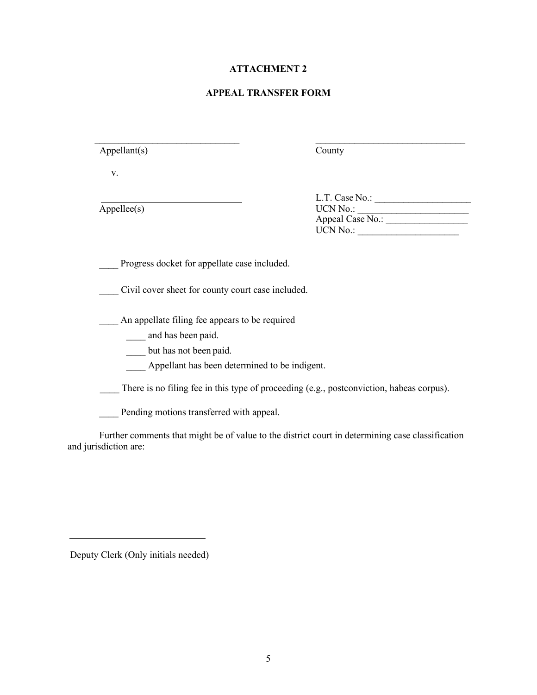#### **ATTACHMENT 2**

### **APPEAL TRANSFER FORM**

 $\_$  , and the contribution of the contribution of  $\overline{a}$  , and  $\overline{b}$  , and  $\overline{b}$  , and  $\overline{b}$  , and  $\overline{b}$ 

| Appellant(s) | County |
|--------------|--------|
|              |        |

v.

 $\overline{\text{Apple(s)}}$ 

| ∠ountv |  |
|--------|--|
|        |  |

| L.T. Case No.:   |  |
|------------------|--|
| <b>UCN No.:</b>  |  |
| Appeal Case No.: |  |
| UCN No.          |  |

Progress docket for appellate case included.

Civil cover sheet for county court case included.

An appellate filing fee appears to be required

\_\_\_\_ and has been paid.

but has not been paid.

Appellant has been determined to be indigent.

There is no filing fee in this type of proceeding (e.g., postconviction, habeas corpus).

Pending motions transferred with appeal.

Further comments that might be of value to the district court in determining case classification and jurisdiction are:

Deputy Clerk (Only initials needed)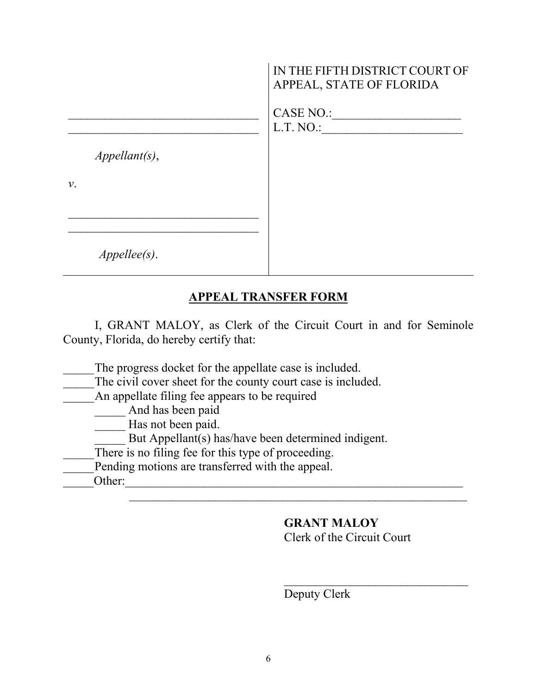|               | IN THE FIFTH DISTRICT COURT OF<br>APPEAL, STATE OF FLORIDA |
|---------------|------------------------------------------------------------|
|               | <b>CASE NO.:</b><br>L.T. NO.:                              |
| Appendant(s), |                                                            |
| $\nu$ .       |                                                            |
|               |                                                            |
| Appellee(s).  |                                                            |

### **APPEAL TRANSFER FORM**

I, GRANT MALOY, as Clerk of the Circuit Court in and for Seminole County, Florida, do hereby certify that:

The progress docket for the appellate case is included.

The civil cover sheet for the county court case is included.

\_\_\_\_\_An appellate filing fee appears to be required

And has been paid

Has not been paid.

But Appellant(s) has/have been determined indigent.

There is no filing fee for this type of proceeding.

Pending motions are transferred with the appeal.

\_\_\_\_\_Other:\_\_\_\_\_\_\_\_\_\_\_\_\_\_\_\_\_\_\_\_\_\_\_\_\_\_\_\_\_\_\_\_\_\_\_\_\_\_\_\_\_\_\_\_\_\_\_\_\_\_\_\_\_\_\_

# **GRANT MALOY**

Clerk of the Circuit Court

\_\_\_\_\_\_\_\_\_\_\_\_\_\_\_\_\_\_\_\_\_\_\_\_\_\_\_\_\_\_

Deputy Clerk

 $\mathcal{L}_\text{max}$  , and the contract of the contract of the contract of the contract of the contract of the contract of the contract of the contract of the contract of the contract of the contract of the contract of the contr